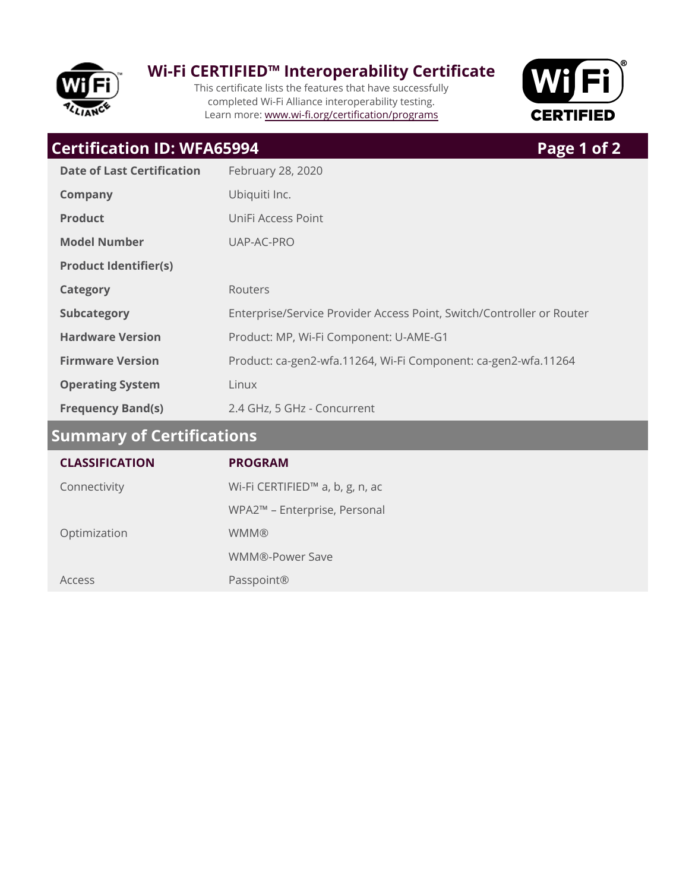

## **Wi-Fi CERTIFIED™ Interoperability Certificate**

This certificate lists the features that have successfully completed Wi-Fi Alliance interoperability testing. Learn more: www.wi-fi.org/certification/programs



# **Frequency Band(s)** 2.4 GHz, 5 GHz - Concurrent **Operating System** Linux Firmware Version **Product: ca-gen2-wfa.11264, Wi-Fi Component: ca-gen2-wfa.11264** Hardware Version **Product: MP, Wi-Fi Component: U-AME-G1 Subcategory** Enterprise/Service Provider Access Point, Switch/Controller or Router **Category** Routers **Product Identifier(s) Model Number** UAP-AC-PRO **Product** UniFi Access Point **Company** Ubiquiti Inc. **Date of Last Certification** February 28, 2020 **Certification ID: WFA65994 Page 1 of 2 Summary of Certifications**

| <b>CLASSIFICATION</b> | <b>PROGRAM</b>                              |
|-----------------------|---------------------------------------------|
| Connectivity          | Wi-Fi CERTIFIED <sup>™</sup> a, b, g, n, ac |
|                       | WPA2™ - Enterprise, Personal                |
| Optimization          | <b>WMM®</b>                                 |
|                       | WMM®-Power Save                             |
| Access                | Passpoint®                                  |